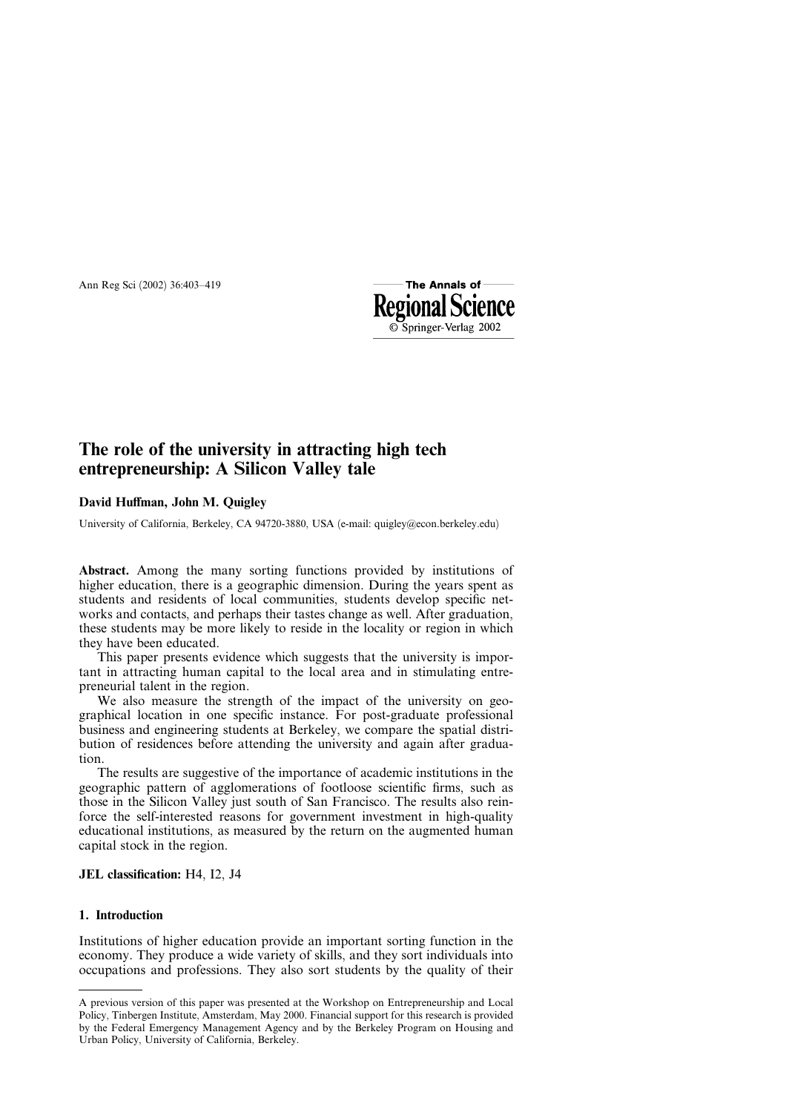# The role of the university in attracting high tech entrepreneurship: A Silicon Valley tale

## David Huffman, John M. Quigley

University of California, Berkeley, CA 94720-3880, USA (e-mail: quigley@econ.berkeley.edu)

The Annals of

© Springer-Verlag 2002

**Regional** 

Abstract. Among the many sorting functions provided by institutions of higher education, there is a geographic dimension. During the years spent as students and residents of local communities, students develop specific networks and contacts, and perhaps their tastes change as well. After graduation, these students may be more likely to reside in the locality or region in which they have been educated.

This paper presents evidence which suggests that the university is important in attracting human capital to the local area and in stimulating entrepreneurial talent in the region.

We also measure the strength of the impact of the university on geographical location in one specific instance. For post-graduate professional business and engineering students at Berkeley, we compare the spatial distribution of residences before attending the university and again after graduation.

The results are suggestive of the importance of academic institutions in the geographic pattern of agglomerations of footloose scientific firms, such as those in the Silicon Valley just south of San Francisco. The results also reinforce the self-interested reasons for government investment in high-quality educational institutions, as measured by the return on the augmented human capital stock in the region.

## JEL classification: H4, I2, J4

### 1. Introduction

Institutions of higher education provide an important sorting function in the economy. They produce a wide variety of skills, and they sort individuals into occupations and professions. They also sort students by the quality of their

A previous version of this paper was presented at the Workshop on Entrepreneurship and Local Policy, Tinbergen Institute, Amsterdam, May 2000. Financial support for this research is provided by the Federal Emergency Management Agency and by the Berkeley Program on Housing and Urban Policy, University of California, Berkeley.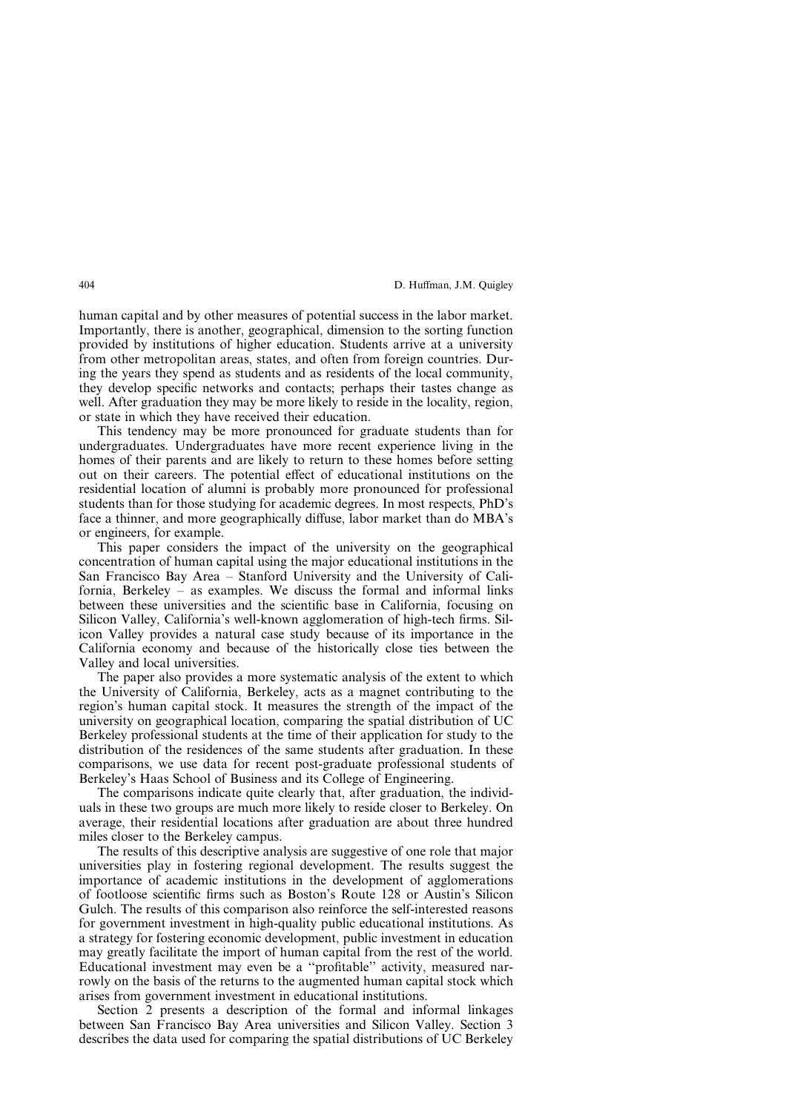human capital and by other measures of potential success in the labor market. Importantly, there is another, geographical, dimension to the sorting function provided by institutions of higher education. Students arrive at a university from other metropolitan areas, states, and often from foreign countries. During the years they spend as students and as residents of the local community, they develop specific networks and contacts; perhaps their tastes change as well. After graduation they may be more likely to reside in the locality, region, or state in which they have received their education.

This tendency may be more pronounced for graduate students than for undergraduates. Undergraduates have more recent experience living in the homes of their parents and are likely to return to these homes before setting out on their careers. The potential effect of educational institutions on the residential location of alumni is probably more pronounced for professional students than for those studying for academic degrees. In most respects, PhD's face a thinner, and more geographically diffuse, labor market than do MBA's or engineers, for example.

This paper considers the impact of the university on the geographical concentration of human capital using the major educational institutions in the San Francisco Bay Area – Stanford University and the University of California, Berkeley – as examples. We discuss the formal and informal links between these universities and the scientific base in California, focusing on Silicon Valley, California's well-known agglomeration of high-tech firms. Silicon Valley provides a natural case study because of its importance in the California economy and because of the historically close ties between the Valley and local universities.

The paper also provides a more systematic analysis of the extent to which the University of California, Berkeley, acts as a magnet contributing to the region's human capital stock. It measures the strength of the impact of the university on geographical location, comparing the spatial distribution of UC Berkeley professional students at the time of their application for study to the distribution of the residences of the same students after graduation. In these comparisons, we use data for recent post-graduate professional students of Berkeley's Haas School of Business and its College of Engineering.

The comparisons indicate quite clearly that, after graduation, the individuals in these two groups are much more likely to reside closer to Berkeley. On average, their residential locations after graduation are about three hundred miles closer to the Berkeley campus.

The results of this descriptive analysis are suggestive of one role that major universities play in fostering regional development. The results suggest the importance of academic institutions in the development of agglomerations of footloose scientific firms such as Boston's Route 128 or Austin's Silicon Gulch. The results of this comparison also reinforce the self-interested reasons for government investment in high-quality public educational institutions. As a strategy for fostering economic development, public investment in education may greatly facilitate the import of human capital from the rest of the world. Educational investment may even be a ''profitable'' activity, measured narrowly on the basis of the returns to the augmented human capital stock which arises from government investment in educational institutions.

Section 2 presents a description of the formal and informal linkages between San Francisco Bay Area universities and Silicon Valley. Section 3 describes the data used for comparing the spatial distributions of UC Berkeley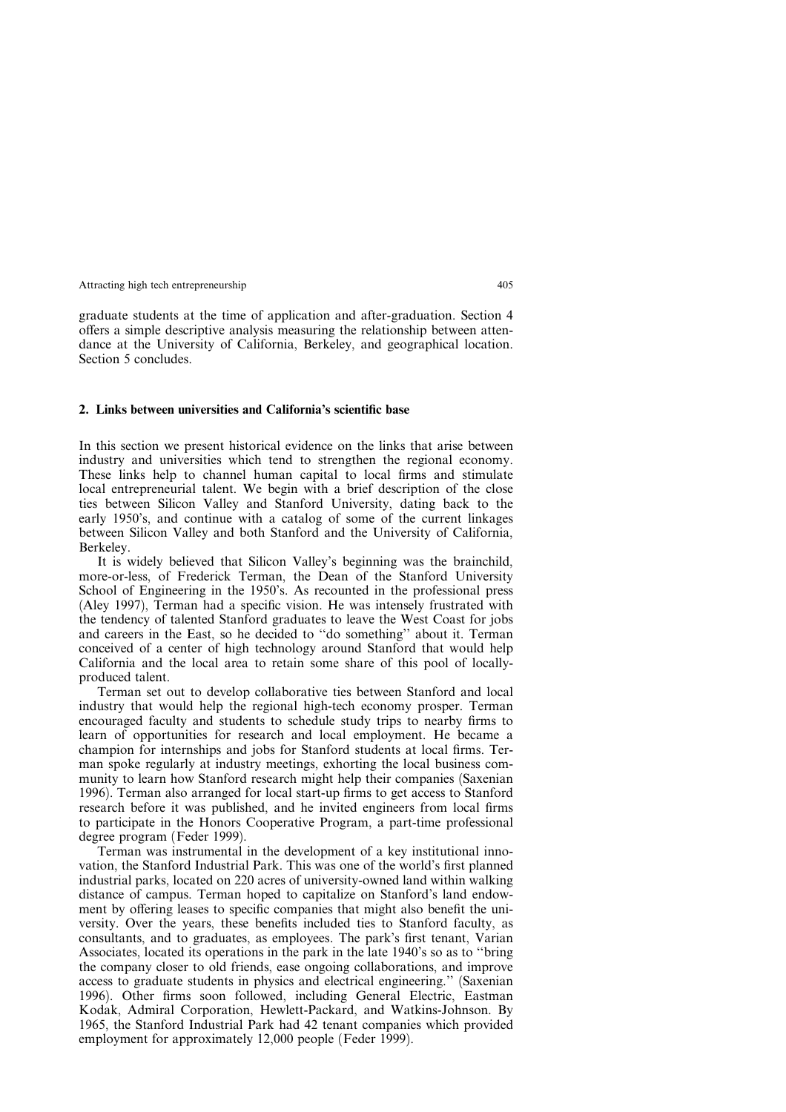graduate students at the time of application and after-graduation. Section 4 offers a simple descriptive analysis measuring the relationship between attendance at the University of California, Berkeley, and geographical location. Section 5 concludes.

## 2. Links between universities and California's scientific base

In this section we present historical evidence on the links that arise between industry and universities which tend to strengthen the regional economy. These links help to channel human capital to local firms and stimulate local entrepreneurial talent. We begin with a brief description of the close ties between Silicon Valley and Stanford University, dating back to the early 1950's, and continue with a catalog of some of the current linkages between Silicon Valley and both Stanford and the University of California, Berkeley.

It is widely believed that Silicon Valley's beginning was the brainchild, more-or-less, of Frederick Terman, the Dean of the Stanford University School of Engineering in the 1950's. As recounted in the professional press (Aley 1997), Terman had a specific vision. He was intensely frustrated with the tendency of talented Stanford graduates to leave the West Coast for jobs and careers in the East, so he decided to ''do something'' about it. Terman conceived of a center of high technology around Stanford that would help California and the local area to retain some share of this pool of locallyproduced talent.

Terman set out to develop collaborative ties between Stanford and local industry that would help the regional high-tech economy prosper. Terman encouraged faculty and students to schedule study trips to nearby firms to learn of opportunities for research and local employment. He became a champion for internships and jobs for Stanford students at local firms. Terman spoke regularly at industry meetings, exhorting the local business community to learn how Stanford research might help their companies (Saxenian 1996). Terman also arranged for local start-up firms to get access to Stanford research before it was published, and he invited engineers from local firms to participate in the Honors Cooperative Program, a part-time professional degree program (Feder 1999).

Terman was instrumental in the development of a key institutional innovation, the Stanford Industrial Park. This was one of the world's first planned industrial parks, located on 220 acres of university-owned land within walking distance of campus. Terman hoped to capitalize on Stanford's land endowment by offering leases to specific companies that might also benefit the university. Over the years, these benefits included ties to Stanford faculty, as consultants, and to graduates, as employees. The park's first tenant, Varian Associates, located its operations in the park in the late 1940's so as to ''bring the company closer to old friends, ease ongoing collaborations, and improve access to graduate students in physics and electrical engineering.'' (Saxenian 1996). Other firms soon followed, including General Electric, Eastman Kodak, Admiral Corporation, Hewlett-Packard, and Watkins-Johnson. By 1965, the Stanford Industrial Park had 42 tenant companies which provided employment for approximately 12,000 people (Feder 1999).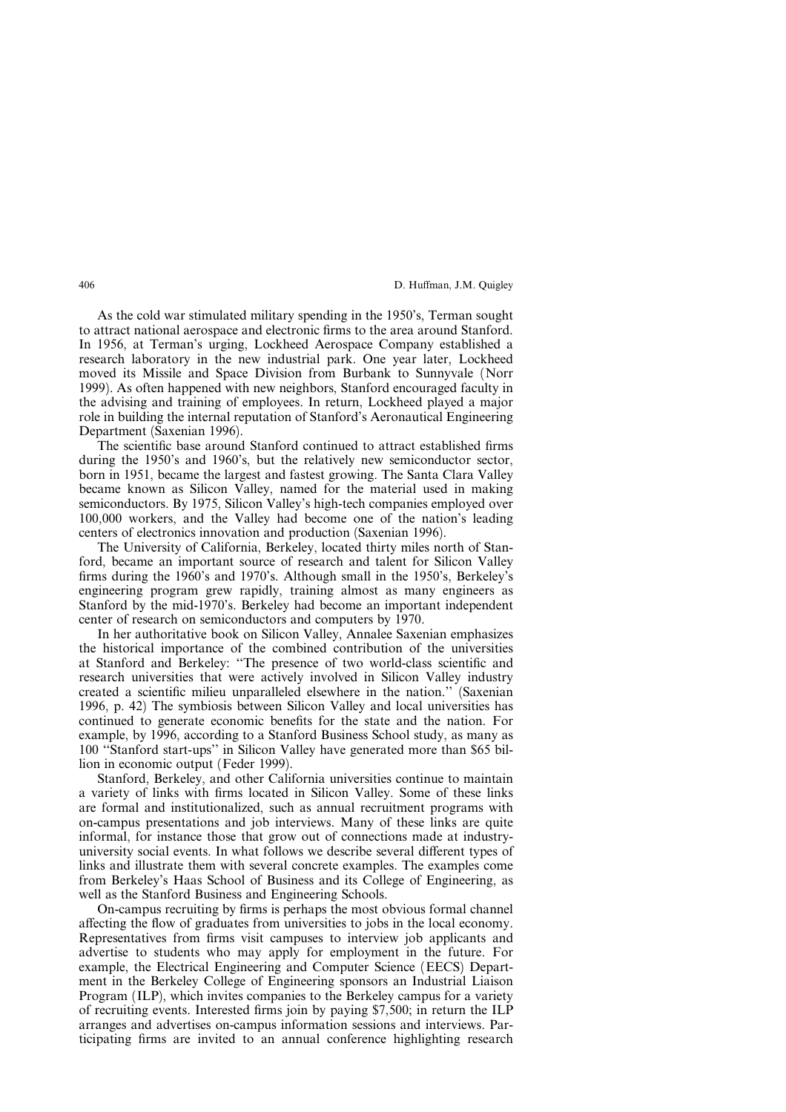As the cold war stimulated military spending in the 1950's, Terman sought to attract national aerospace and electronic firms to the area around Stanford. In 1956, at Terman's urging, Lockheed Aerospace Company established a research laboratory in the new industrial park. One year later, Lockheed moved its Missile and Space Division from Burbank to Sunnyvale (Norr 1999). As often happened with new neighbors, Stanford encouraged faculty in the advising and training of employees. In return, Lockheed played a major role in building the internal reputation of Stanford's Aeronautical Engineering Department (Saxenian 1996).

The scientific base around Stanford continued to attract established firms during the 1950's and 1960's, but the relatively new semiconductor sector, born in 1951, became the largest and fastest growing. The Santa Clara Valley became known as Silicon Valley, named for the material used in making semiconductors. By 1975, Silicon Valley's high-tech companies employed over 100,000 workers, and the Valley had become one of the nation's leading centers of electronics innovation and production (Saxenian 1996).

The University of California, Berkeley, located thirty miles north of Stanford, became an important source of research and talent for Silicon Valley firms during the 1960's and 1970's. Although small in the 1950's, Berkeley's engineering program grew rapidly, training almost as many engineers as Stanford by the mid-1970's. Berkeley had become an important independent center of research on semiconductors and computers by 1970.

In her authoritative book on Silicon Valley, Annalee Saxenian emphasizes the historical importance of the combined contribution of the universities at Stanford and Berkeley: ''The presence of two world-class scientific and research universities that were actively involved in Silicon Valley industry created a scientific milieu unparalleled elsewhere in the nation.'' (Saxenian 1996, p. 42) The symbiosis between Silicon Valley and local universities has continued to generate economic benefits for the state and the nation. For example, by 1996, according to a Stanford Business School study, as many as 100 ''Stanford start-ups'' in Silicon Valley have generated more than \$65 billion in economic output (Feder 1999).

Stanford, Berkeley, and other California universities continue to maintain a variety of links with firms located in Silicon Valley. Some of these links are formal and institutionalized, such as annual recruitment programs with on-campus presentations and job interviews. Many of these links are quite informal, for instance those that grow out of connections made at industryuniversity social events. In what follows we describe several different types of links and illustrate them with several concrete examples. The examples come from Berkeley's Haas School of Business and its College of Engineering, as well as the Stanford Business and Engineering Schools.

On-campus recruiting by firms is perhaps the most obvious formal channel affecting the flow of graduates from universities to jobs in the local economy. Representatives from firms visit campuses to interview job applicants and advertise to students who may apply for employment in the future. For example, the Electrical Engineering and Computer Science (EECS) Department in the Berkeley College of Engineering sponsors an Industrial Liaison Program (ILP), which invites companies to the Berkeley campus for a variety of recruiting events. Interested firms join by paying \$7,500; in return the ILP arranges and advertises on-campus information sessions and interviews. Participating firms are invited to an annual conference highlighting research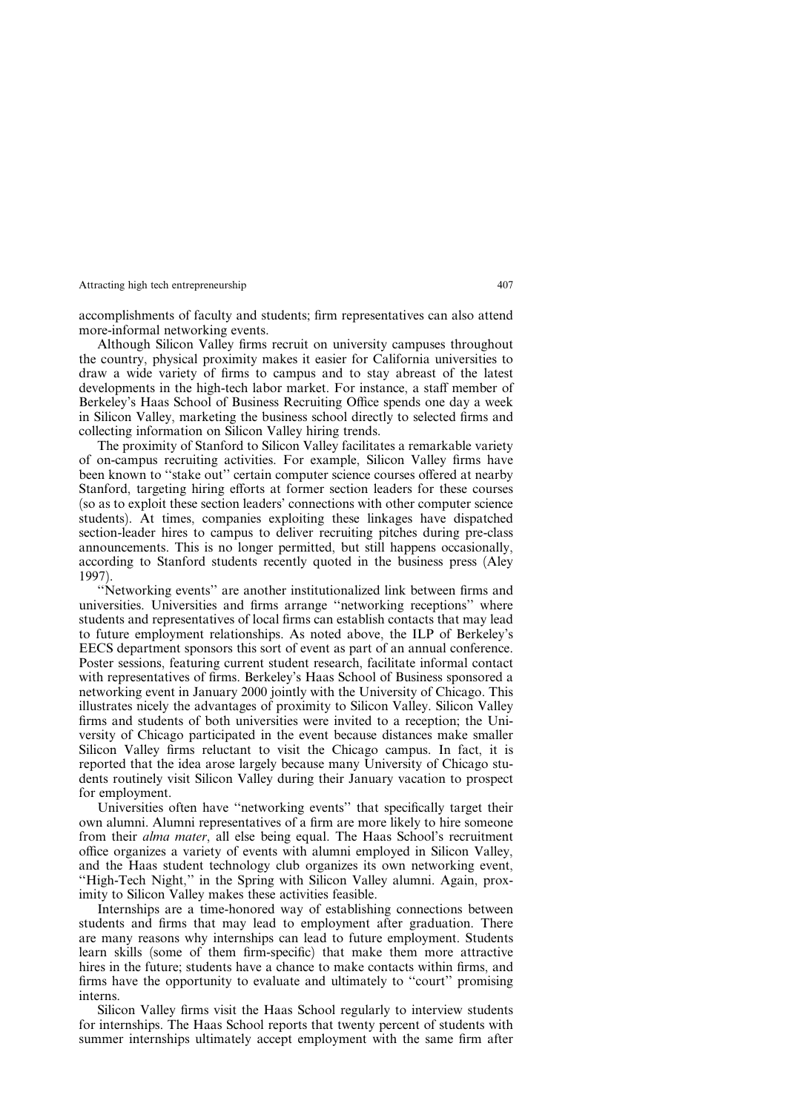accomplishments of faculty and students; firm representatives can also attend more-informal networking events.

Although Silicon Valley firms recruit on university campuses throughout the country, physical proximity makes it easier for California universities to draw a wide variety of firms to campus and to stay abreast of the latest developments in the high-tech labor market. For instance, a staff member of Berkeley's Haas School of Business Recruiting Office spends one day a week in Silicon Valley, marketing the business school directly to selected firms and collecting information on Silicon Valley hiring trends.

The proximity of Stanford to Silicon Valley facilitates a remarkable variety of on-campus recruiting activities. For example, Silicon Valley firms have been known to "stake out" certain computer science courses offered at nearby Stanford, targeting hiring efforts at former section leaders for these courses (so as to exploit these section leaders' connections with other computer science students). At times, companies exploiting these linkages have dispatched section-leader hires to campus to deliver recruiting pitches during pre-class announcements. This is no longer permitted, but still happens occasionally, according to Stanford students recently quoted in the business press (Aley 1997).

''Networking events'' are another institutionalized link between firms and universities. Universities and firms arrange ''networking receptions'' where students and representatives of local firms can establish contacts that may lead to future employment relationships. As noted above, the ILP of Berkeley's EECS department sponsors this sort of event as part of an annual conference. Poster sessions, featuring current student research, facilitate informal contact with representatives of firms. Berkeley's Haas School of Business sponsored a networking event in January 2000 jointly with the University of Chicago. This illustrates nicely the advantages of proximity to Silicon Valley. Silicon Valley firms and students of both universities were invited to a reception; the University of Chicago participated in the event because distances make smaller Silicon Valley firms reluctant to visit the Chicago campus. In fact, it is reported that the idea arose largely because many University of Chicago students routinely visit Silicon Valley during their January vacation to prospect for employment.

Universities often have ''networking events'' that specifically target their own alumni. Alumni representatives of a firm are more likely to hire someone from their alma mater, all else being equal. The Haas School's recruitment o‰ce organizes a variety of events with alumni employed in Silicon Valley, and the Haas student technology club organizes its own networking event, "High-Tech Night," in the Spring with Silicon Valley alumni. Again, proximity to Silicon Valley makes these activities feasible.

Internships are a time-honored way of establishing connections between students and firms that may lead to employment after graduation. There are many reasons why internships can lead to future employment. Students learn skills (some of them firm-specific) that make them more attractive hires in the future; students have a chance to make contacts within firms, and firms have the opportunity to evaluate and ultimately to ''court'' promising interns.

Silicon Valley firms visit the Haas School regularly to interview students for internships. The Haas School reports that twenty percent of students with summer internships ultimately accept employment with the same firm after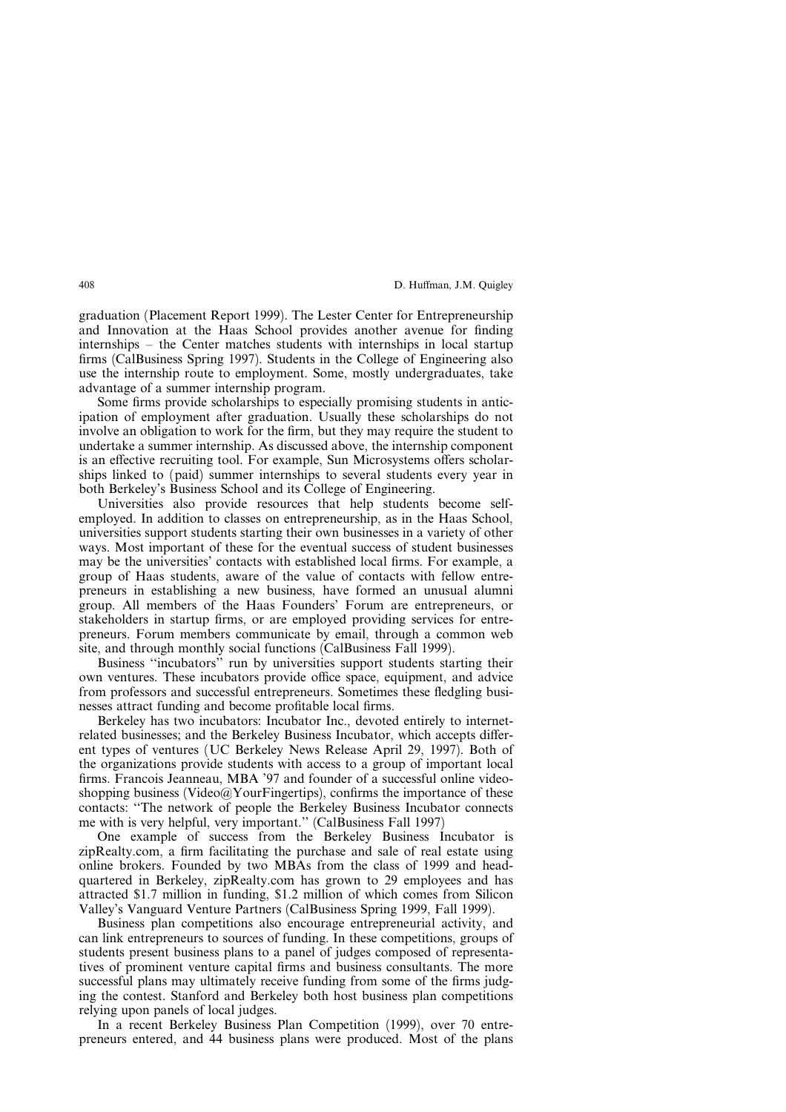graduation (Placement Report 1999). The Lester Center for Entrepreneurship and Innovation at the Haas School provides another avenue for finding internships – the Center matches students with internships in local startup firms (CalBusiness Spring 1997). Students in the College of Engineering also use the internship route to employment. Some, mostly undergraduates, take advantage of a summer internship program.

Some firms provide scholarships to especially promising students in anticipation of employment after graduation. Usually these scholarships do not involve an obligation to work for the firm, but they may require the student to undertake a summer internship. As discussed above, the internship component is an effective recruiting tool. For example, Sun Microsystems offers scholarships linked to (paid) summer internships to several students every year in both Berkeley's Business School and its College of Engineering.

Universities also provide resources that help students become selfemployed. In addition to classes on entrepreneurship, as in the Haas School, universities support students starting their own businesses in a variety of other ways. Most important of these for the eventual success of student businesses may be the universities' contacts with established local firms. For example, a group of Haas students, aware of the value of contacts with fellow entrepreneurs in establishing a new business, have formed an unusual alumni group. All members of the Haas Founders' Forum are entrepreneurs, or stakeholders in startup firms, or are employed providing services for entrepreneurs. Forum members communicate by email, through a common web site, and through monthly social functions (CalBusiness Fall 1999).

Business ''incubators'' run by universities support students starting their own ventures. These incubators provide office space, equipment, and advice from professors and successful entrepreneurs. Sometimes these fledgling businesses attract funding and become profitable local firms.

Berkeley has two incubators: Incubator Inc., devoted entirely to internetrelated businesses; and the Berkeley Business Incubator, which accepts different types of ventures (UC Berkeley News Release April 29, 1997). Both of the organizations provide students with access to a group of important local firms. Francois Jeanneau, MBA '97 and founder of a successful online videoshopping business (Video@YourFingertips), confirms the importance of these contacts: ''The network of people the Berkeley Business Incubator connects me with is very helpful, very important.'' (CalBusiness Fall 1997)

One example of success from the Berkeley Business Incubator is zipRealty.com, a firm facilitating the purchase and sale of real estate using online brokers. Founded by two MBAs from the class of 1999 and headquartered in Berkeley, zipRealty.com has grown to 29 employees and has attracted \$1.7 million in funding, \$1.2 million of which comes from Silicon Valley's Vanguard Venture Partners (CalBusiness Spring 1999, Fall 1999).

Business plan competitions also encourage entrepreneurial activity, and can link entrepreneurs to sources of funding. In these competitions, groups of students present business plans to a panel of judges composed of representatives of prominent venture capital firms and business consultants. The more successful plans may ultimately receive funding from some of the firms judging the contest. Stanford and Berkeley both host business plan competitions relying upon panels of local judges.

In a recent Berkeley Business Plan Competition (1999), over 70 entrepreneurs entered, and 44 business plans were produced. Most of the plans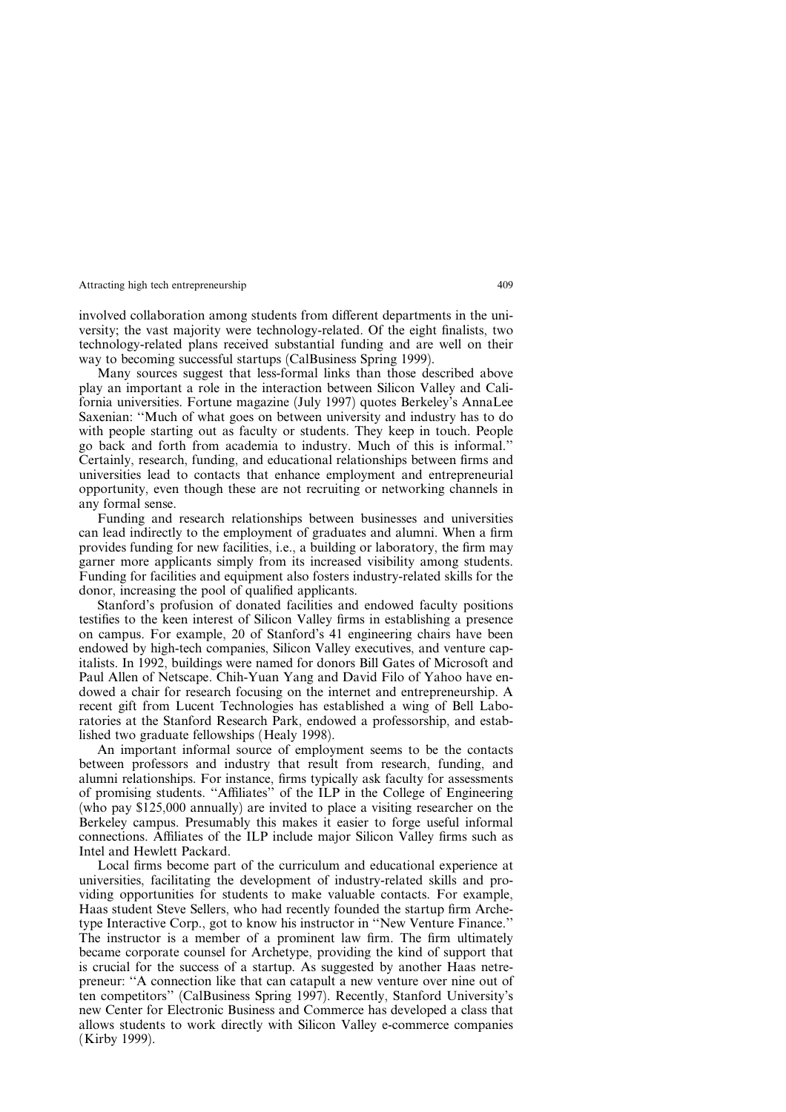involved collaboration among students from different departments in the university; the vast majority were technology-related. Of the eight finalists, two technology-related plans received substantial funding and are well on their way to becoming successful startups (CalBusiness Spring 1999).

Many sources suggest that less-formal links than those described above play an important a role in the interaction between Silicon Valley and California universities. Fortune magazine (July 1997) quotes Berkeley's AnnaLee Saxenian: ''Much of what goes on between university and industry has to do with people starting out as faculty or students. They keep in touch. People go back and forth from academia to industry. Much of this is informal.'' Certainly, research, funding, and educational relationships between firms and universities lead to contacts that enhance employment and entrepreneurial opportunity, even though these are not recruiting or networking channels in any formal sense.

Funding and research relationships between businesses and universities can lead indirectly to the employment of graduates and alumni. When a firm provides funding for new facilities, i.e., a building or laboratory, the firm may garner more applicants simply from its increased visibility among students. Funding for facilities and equipment also fosters industry-related skills for the donor, increasing the pool of qualified applicants.

Stanford's profusion of donated facilities and endowed faculty positions testifies to the keen interest of Silicon Valley firms in establishing a presence on campus. For example, 20 of Stanford's 41 engineering chairs have been endowed by high-tech companies, Silicon Valley executives, and venture capitalists. In 1992, buildings were named for donors Bill Gates of Microsoft and Paul Allen of Netscape. Chih-Yuan Yang and David Filo of Yahoo have endowed a chair for research focusing on the internet and entrepreneurship. A recent gift from Lucent Technologies has established a wing of Bell Laboratories at the Stanford Research Park, endowed a professorship, and established two graduate fellowships (Healy 1998).

An important informal source of employment seems to be the contacts between professors and industry that result from research, funding, and alumni relationships. For instance, firms typically ask faculty for assessments of promising students. "Affiliates" of the ILP in the College of Engineering (who pay \$125,000 annually) are invited to place a visiting researcher on the Berkeley campus. Presumably this makes it easier to forge useful informal connections. Affiliates of the ILP include major Silicon Valley firms such as Intel and Hewlett Packard.

Local firms become part of the curriculum and educational experience at universities, facilitating the development of industry-related skills and providing opportunities for students to make valuable contacts. For example, Haas student Steve Sellers, who had recently founded the startup firm Archetype Interactive Corp., got to know his instructor in ''New Venture Finance.'' The instructor is a member of a prominent law firm. The firm ultimately became corporate counsel for Archetype, providing the kind of support that is crucial for the success of a startup. As suggested by another Haas netrepreneur: ''A connection like that can catapult a new venture over nine out of ten competitors'' (CalBusiness Spring 1997). Recently, Stanford University's new Center for Electronic Business and Commerce has developed a class that allows students to work directly with Silicon Valley e-commerce companies (Kirby 1999).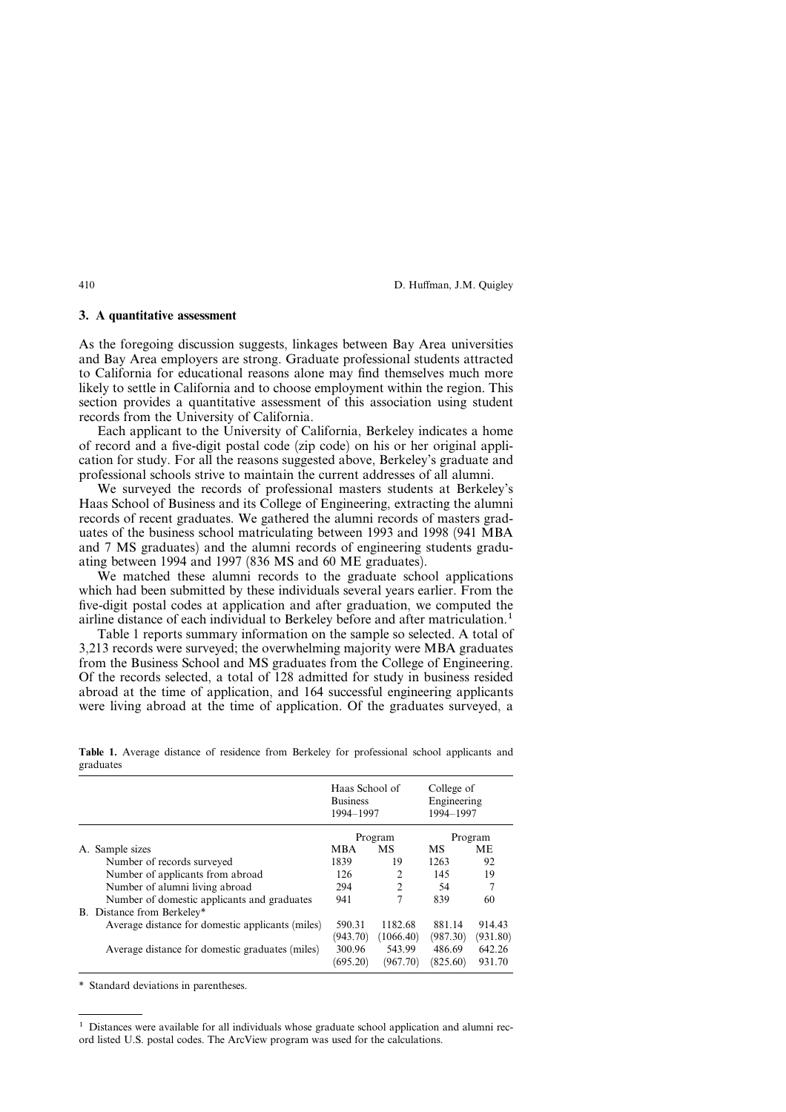#### 3. A quantitative assessment

As the foregoing discussion suggests, linkages between Bay Area universities and Bay Area employers are strong. Graduate professional students attracted to California for educational reasons alone may find themselves much more likely to settle in California and to choose employment within the region. This section provides a quantitative assessment of this association using student records from the University of California.

Each applicant to the University of California, Berkeley indicates a home of record and a five-digit postal code (zip code) on his or her original application for study. For all the reasons suggested above, Berkeley's graduate and professional schools strive to maintain the current addresses of all alumni.

We surveyed the records of professional masters students at Berkeley's Haas School of Business and its College of Engineering, extracting the alumni records of recent graduates. We gathered the alumni records of masters graduates of the business school matriculating between 1993 and 1998 (941 MBA and 7 MS graduates) and the alumni records of engineering students graduating between 1994 and 1997 (836 MS and 60 ME graduates).

We matched these alumni records to the graduate school applications which had been submitted by these individuals several years earlier. From the five-digit postal codes at application and after graduation, we computed the airline distance of each individual to Berkeley before and after matriculation.1

Table 1 reports summary information on the sample so selected. A total of 3,213 records were surveyed; the overwhelming majority were MBA graduates from the Business School and MS graduates from the College of Engineering. Of the records selected, a total of 128 admitted for study in business resided abroad at the time of application, and 164 successful engineering applicants were living abroad at the time of application. Of the graduates surveyed, a

|                                                  |            | Haas School of<br>1994-1997 | College of<br>Engineering<br>1994-1997 |          |  |
|--------------------------------------------------|------------|-----------------------------|----------------------------------------|----------|--|
|                                                  |            | Program                     | Program                                |          |  |
| A. Sample sizes                                  | <b>MBA</b> | MS                          | MS                                     | МE       |  |
| Number of records surveyed                       | 1839       | 19                          | 1263                                   | 92       |  |
| Number of applicants from abroad                 | 126        | 2                           | 145                                    | 19       |  |
| Number of alumni living abroad                   | 294        | $\overline{2}$              | 54                                     | 7        |  |
| Number of domestic applicants and graduates      | 941        | 7                           | 839                                    | 60       |  |
| B. Distance from Berkeley*                       |            |                             |                                        |          |  |
| Average distance for domestic applicants (miles) | 590.31     | 1182.68                     | 881.14                                 | 914.43   |  |
|                                                  | (943.70)   | (1066.40)                   | (987.30)                               | (931.80) |  |
| Average distance for domestic graduates (miles)  | 300.96     | 543.99                      | 486.69                                 | 642.26   |  |
|                                                  | (695.20)   | (967.70)                    | (825.60)                               | 931.70   |  |

Table 1. Average distance of residence from Berkeley for professional school applicants and graduates

\* Standard deviations in parentheses.

 $1$  Distances were available for all individuals whose graduate school application and alumni record listed U.S. postal codes. The ArcView program was used for the calculations.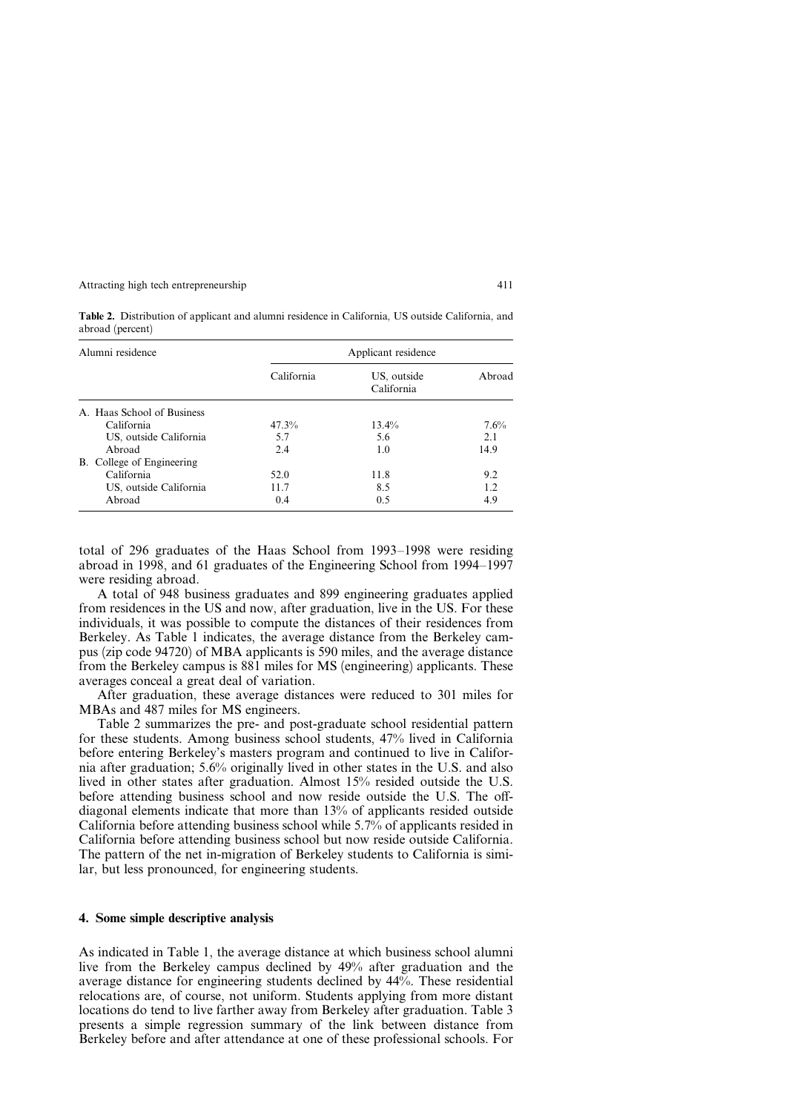| Alumni residence           | Applicant residence |                           |        |  |  |  |
|----------------------------|---------------------|---------------------------|--------|--|--|--|
|                            | California          | US, outside<br>California | Abroad |  |  |  |
| A. Haas School of Business |                     |                           |        |  |  |  |
| California                 | 47.3%               | $13.4\%$                  | 7.6%   |  |  |  |
| US, outside California     | 5.7                 | 5.6                       | 2.1    |  |  |  |
| Abroad                     | 2.4                 | 1.0                       | 14.9   |  |  |  |
| B. College of Engineering  |                     |                           |        |  |  |  |
| California                 | 52.0                | 11.8                      | 9.2    |  |  |  |
| US, outside California     | 11.7                | 8.5                       | 12     |  |  |  |
| Abroad                     | 0.4                 | 0.5                       | 4.9    |  |  |  |

Table 2. Distribution of applicant and alumni residence in California, US outside California, and abroad (percent)

total of 296 graduates of the Haas School from 1993–1998 were residing abroad in 1998, and 61 graduates of the Engineering School from 1994–1997 were residing abroad.

A total of 948 business graduates and 899 engineering graduates applied from residences in the US and now, after graduation, live in the US. For these individuals, it was possible to compute the distances of their residences from Berkeley. As Table 1 indicates, the average distance from the Berkeley campus (zip code 94720) of MBA applicants is 590 miles, and the average distance from the Berkeley campus is 881 miles for MS (engineering) applicants. These averages conceal a great deal of variation.

After graduation, these average distances were reduced to 301 miles for MBAs and 487 miles for MS engineers.

Table 2 summarizes the pre- and post-graduate school residential pattern for these students. Among business school students, 47% lived in California before entering Berkeley's masters program and continued to live in California after graduation; 5.6% originally lived in other states in the U.S. and also lived in other states after graduation. Almost 15% resided outside the U.S. before attending business school and now reside outside the U.S. The offdiagonal elements indicate that more than 13% of applicants resided outside California before attending business school while 5.7% of applicants resided in California before attending business school but now reside outside California. The pattern of the net in-migration of Berkeley students to California is similar, but less pronounced, for engineering students.

#### 4. Some simple descriptive analysis

As indicated in Table 1, the average distance at which business school alumni live from the Berkeley campus declined by 49% after graduation and the average distance for engineering students declined by 44%. These residential relocations are, of course, not uniform. Students applying from more distant locations do tend to live farther away from Berkeley after graduation. Table 3 presents a simple regression summary of the link between distance from Berkeley before and after attendance at one of these professional schools. For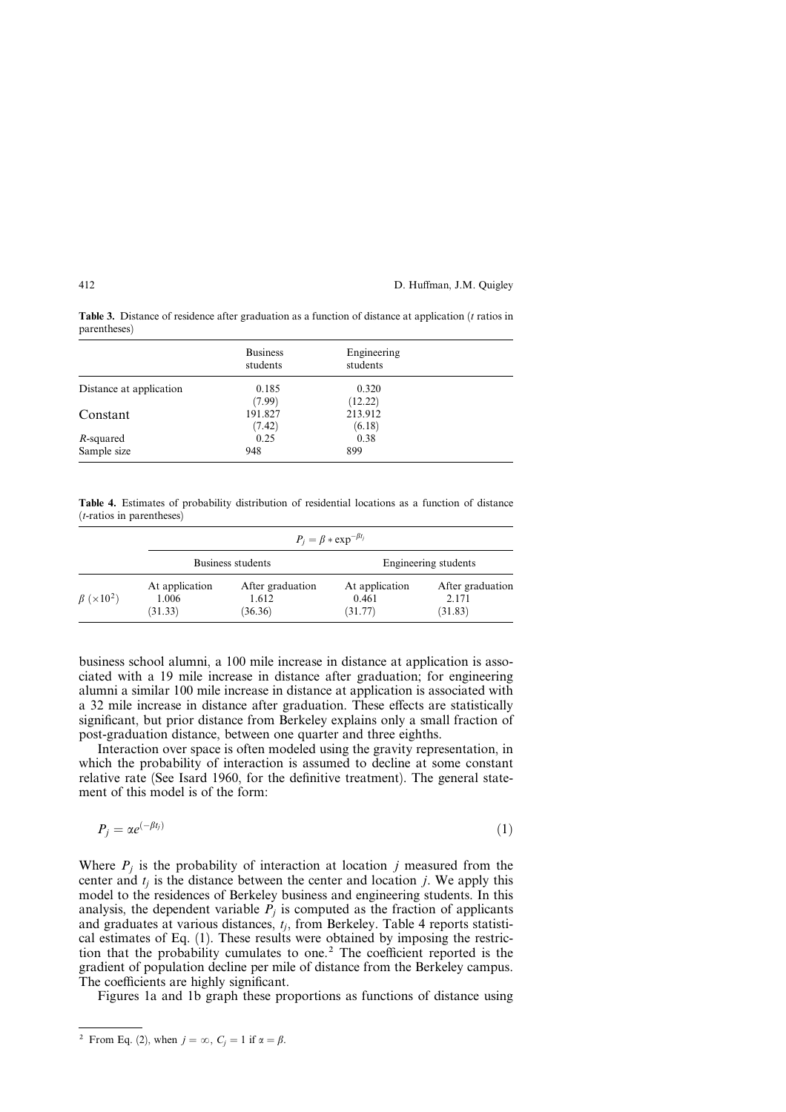| parunuscs               |                             |                                         |  |  |  |  |  |
|-------------------------|-----------------------------|-----------------------------------------|--|--|--|--|--|
|                         | <b>Business</b><br>students | Engineering<br>students                 |  |  |  |  |  |
| Distance at application | 0.185                       | 0.320                                   |  |  |  |  |  |
|                         | (7.99)                      | (12.22)                                 |  |  |  |  |  |
| Constant                | 191.827                     | 213.912                                 |  |  |  |  |  |
|                         |                             | $\lambda$ $\lambda$ $\lambda$ $\lambda$ |  |  |  |  |  |

 $(7.42)$ 

R-squared 0.25 0.38

Sample size 948

Table 3. Distance of residence after graduation as a function of distance at application (*t* ratios in parentheses)

Table 4. Estimates of probability distribution of residential locations as a function of distance (t-ratios in parentheses)

 $(6.18)$ <br>0.38

|                             |                                    | $P_i = \beta * \exp^{-\beta t_i}$    |                                    |                                      |  |  |
|-----------------------------|------------------------------------|--------------------------------------|------------------------------------|--------------------------------------|--|--|
|                             |                                    | Business students                    | Engineering students               |                                      |  |  |
| $\beta$ (×10 <sup>2</sup> ) | At application<br>1.006<br>(31.33) | After graduation<br>1.612<br>(36.36) | At application<br>0.461<br>(31.77) | After graduation<br>2.171<br>(31.83) |  |  |

business school alumni, a 100 mile increase in distance at application is associated with a 19 mile increase in distance after graduation; for engineering alumni a similar 100 mile increase in distance at application is associated with a 32 mile increase in distance after graduation. These effects are statistically significant, but prior distance from Berkeley explains only a small fraction of post-graduation distance, between one quarter and three eighths.

Interaction over space is often modeled using the gravity representation, in which the probability of interaction is assumed to decline at some constant relative rate (See Isard 1960, for the definitive treatment). The general statement of this model is of the form:

$$
P_j = \alpha e^{(-\beta t_j)} \tag{1}
$$

Where  $P_i$  is the probability of interaction at location j measured from the center and  $t_i$  is the distance between the center and location *j*. We apply this model to the residences of Berkeley business and engineering students. In this analysis, the dependent variable  $P_i$  is computed as the fraction of applicants and graduates at various distances,  $t_i$ , from Berkeley. Table 4 reports statistical estimates of Eq. (1). These results were obtained by imposing the restriction that the probability cumulates to one.<sup>2</sup> The coefficient reported is the gradient of population decline per mile of distance from the Berkeley campus. The coefficients are highly significant.

Figures 1a and 1b graph these proportions as functions of distance using

<sup>&</sup>lt;sup>2</sup> From Eq. (2), when  $j = \infty$ ,  $C_j = 1$  if  $\alpha = \beta$ .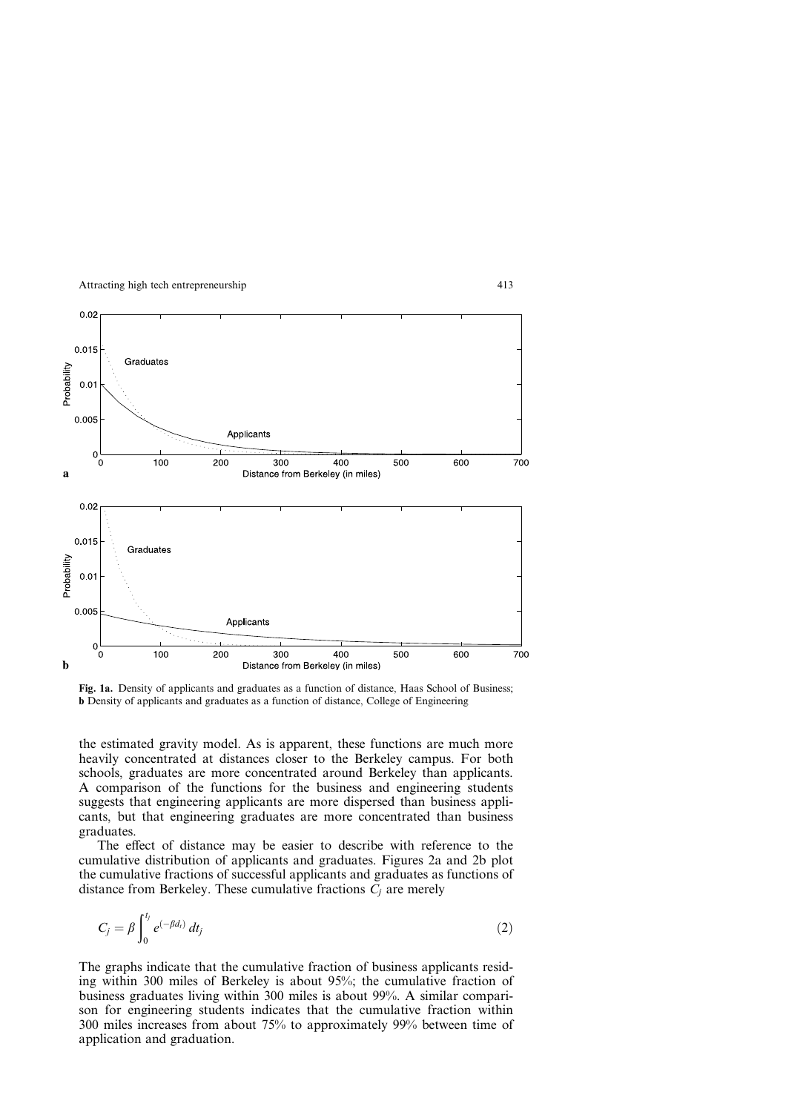

Fig. 1a. Density of applicants and graduates as a function of distance, Haas School of Business; b Density of applicants and graduates as a function of distance, College of Engineering

the estimated gravity model. As is apparent, these functions are much more heavily concentrated at distances closer to the Berkeley campus. For both schools, graduates are more concentrated around Berkeley than applicants. A comparison of the functions for the business and engineering students suggests that engineering applicants are more dispersed than business applicants, but that engineering graduates are more concentrated than business graduates.

The effect of distance may be easier to describe with reference to the cumulative distribution of applicants and graduates. Figures 2a and 2b plot the cumulative fractions of successful applicants and graduates as functions of distance from Berkeley. These cumulative fractions  $C_i$  are merely

$$
C_j = \beta \int_0^{t_j} e^{(-\beta d_i)} dt_j \tag{2}
$$

The graphs indicate that the cumulative fraction of business applicants residing within 300 miles of Berkeley is about 95%; the cumulative fraction of business graduates living within 300 miles is about 99%. A similar comparison for engineering students indicates that the cumulative fraction within 300 miles increases from about 75% to approximately 99% between time of application and graduation.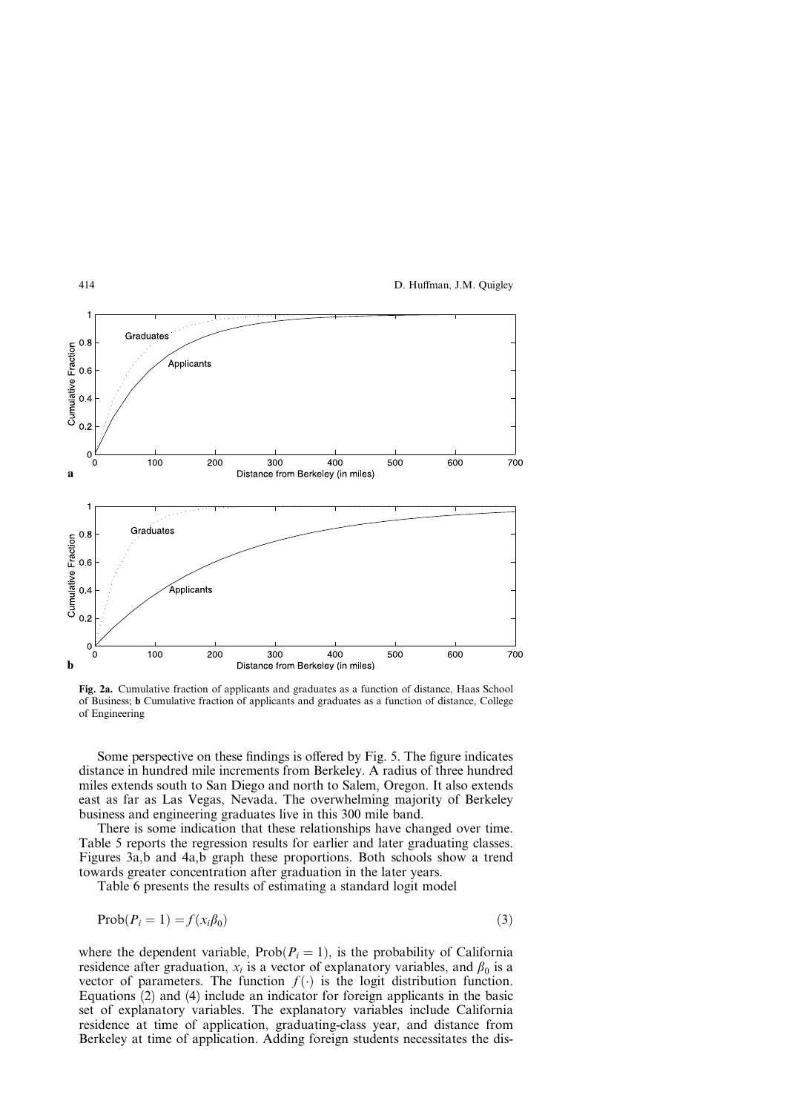

Fig. 2a. Cumulative fraction of applicants and graduates as a function of distance, Haas School of Business; b Cumulative fraction of applicants and graduates as a function of distance, College of Engineering

Some perspective on these findings is offered by Fig. 5. The figure indicates distance in hundred mile increments from Berkeley. A radius of three hundred miles extends south to San Diego and north to Salem, Oregon. It also extends east as far as Las Vegas, Nevada. The overwhelming majority of Berkeley business and engineering graduates live in this 300 mile band.

There is some indication that these relationships have changed over time. Table 5 reports the regression results for earlier and later graduating classes. Figures 3a,b and 4a,b graph these proportions. Both schools show a trend towards greater concentration after graduation in the later years.

Table 6 presents the results of estimating a standard logit model

$$
Prob(P_i = 1) = f(x_i \beta_0)
$$
\n(3)

where the dependent variable,  $Prob(P_i = 1)$ , is the probability of California residence after graduation,  $x_i$  is a vector of explanatory variables, and  $\beta_0$  is a vector of parameters. The function  $f(\cdot)$  is the logit distribution function. Equations (2) and (4) include an indicator for foreign applicants in the basic set of explanatory variables. The explanatory variables include California residence at time of application, graduating-class year, and distance from Berkeley at time of application. Adding foreign students necessitates the dis-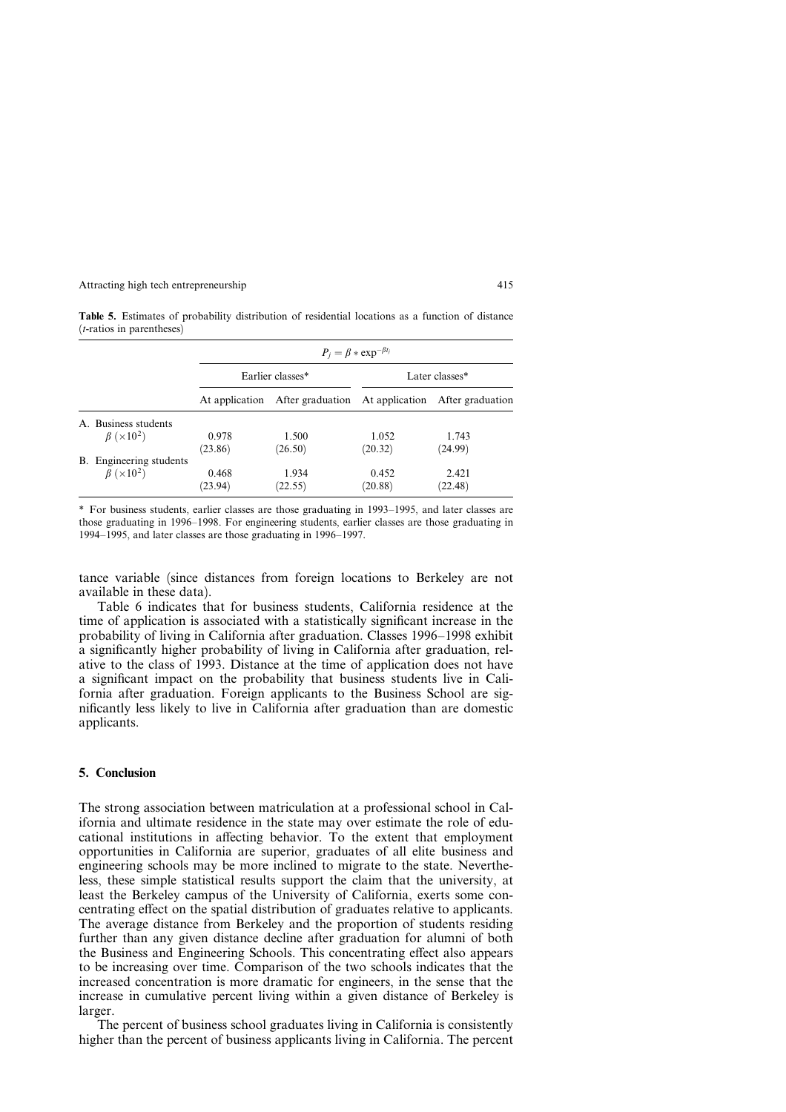|                                      |                | $P_i = \beta * \exp^{-\beta t_i}$ |         |                  |  |  |
|--------------------------------------|----------------|-----------------------------------|---------|------------------|--|--|
|                                      |                | Earlier classes*                  |         | Later classes*   |  |  |
|                                      | At application | After graduation At application   |         | After graduation |  |  |
| A. Business students                 |                |                                   |         |                  |  |  |
| $\beta$ ( $\times$ 10 <sup>2</sup> ) | 0.978          | 1.500                             | 1.052   | 1.743            |  |  |
|                                      | (23.86)        | (26.50)                           | (20.32) | (24.99)          |  |  |
| B. Engineering students              |                |                                   |         |                  |  |  |
| $\beta$ ( $\times$ 10 <sup>2</sup> ) | 0.468          | 1.934                             | 0.452   | 2.421            |  |  |
|                                      | (23.94)        | (22.55)                           | (20.88) | (22.48)          |  |  |

Table 5. Estimates of probability distribution of residential locations as a function of distance (t-ratios in parentheses)

\* For business students, earlier classes are those graduating in 1993–1995, and later classes are those graduating in 1996–1998. For engineering students, earlier classes are those graduating in 1994–1995, and later classes are those graduating in 1996–1997.

tance variable (since distances from foreign locations to Berkeley are not available in these data).

Table 6 indicates that for business students, California residence at the time of application is associated with a statistically significant increase in the probability of living in California after graduation. Classes 1996–1998 exhibit a significantly higher probability of living in California after graduation, relative to the class of 1993. Distance at the time of application does not have a significant impact on the probability that business students live in California after graduation. Foreign applicants to the Business School are significantly less likely to live in California after graduation than are domestic applicants.

### 5. Conclusion

The strong association between matriculation at a professional school in California and ultimate residence in the state may over estimate the role of educational institutions in affecting behavior. To the extent that employment opportunities in California are superior, graduates of all elite business and engineering schools may be more inclined to migrate to the state. Nevertheless, these simple statistical results support the claim that the university, at least the Berkeley campus of the University of California, exerts some concentrating effect on the spatial distribution of graduates relative to applicants. The average distance from Berkeley and the proportion of students residing further than any given distance decline after graduation for alumni of both the Business and Engineering Schools. This concentrating effect also appears to be increasing over time. Comparison of the two schools indicates that the increased concentration is more dramatic for engineers, in the sense that the increase in cumulative percent living within a given distance of Berkeley is larger.

The percent of business school graduates living in California is consistently higher than the percent of business applicants living in California. The percent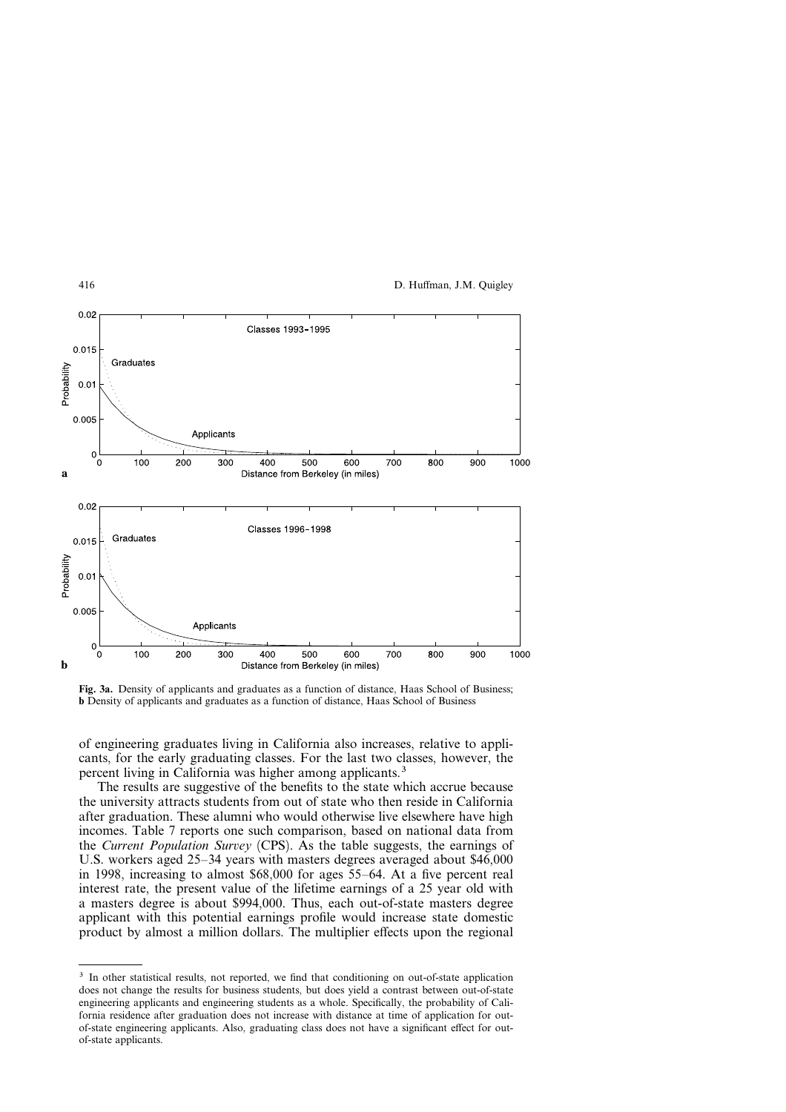

Fig. 3a. Density of applicants and graduates as a function of distance, Haas School of Business; b Density of applicants and graduates as a function of distance, Haas School of Business

of engineering graduates living in California also increases, relative to applicants, for the early graduating classes. For the last two classes, however, the percent living in California was higher among applicants.3

The results are suggestive of the benefits to the state which accrue because the university attracts students from out of state who then reside in California after graduation. These alumni who would otherwise live elsewhere have high incomes. Table 7 reports one such comparison, based on national data from the Current Population Survey (CPS). As the table suggests, the earnings of U.S. workers aged 25–34 years with masters degrees averaged about \$46,000 in 1998, increasing to almost \$68,000 for ages 55–64. At a five percent real interest rate, the present value of the lifetime earnings of a 25 year old with a masters degree is about \$994,000. Thus, each out-of-state masters degree applicant with this potential earnings profile would increase state domestic product by almost a million dollars. The multiplier effects upon the regional

<sup>&</sup>lt;sup>3</sup> In other statistical results, not reported, we find that conditioning on out-of-state application does not change the results for business students, but does yield a contrast between out-of-state engineering applicants and engineering students as a whole. Specifically, the probability of California residence after graduation does not increase with distance at time of application for outof-state engineering applicants. Also, graduating class does not have a significant effect for outof-state applicants.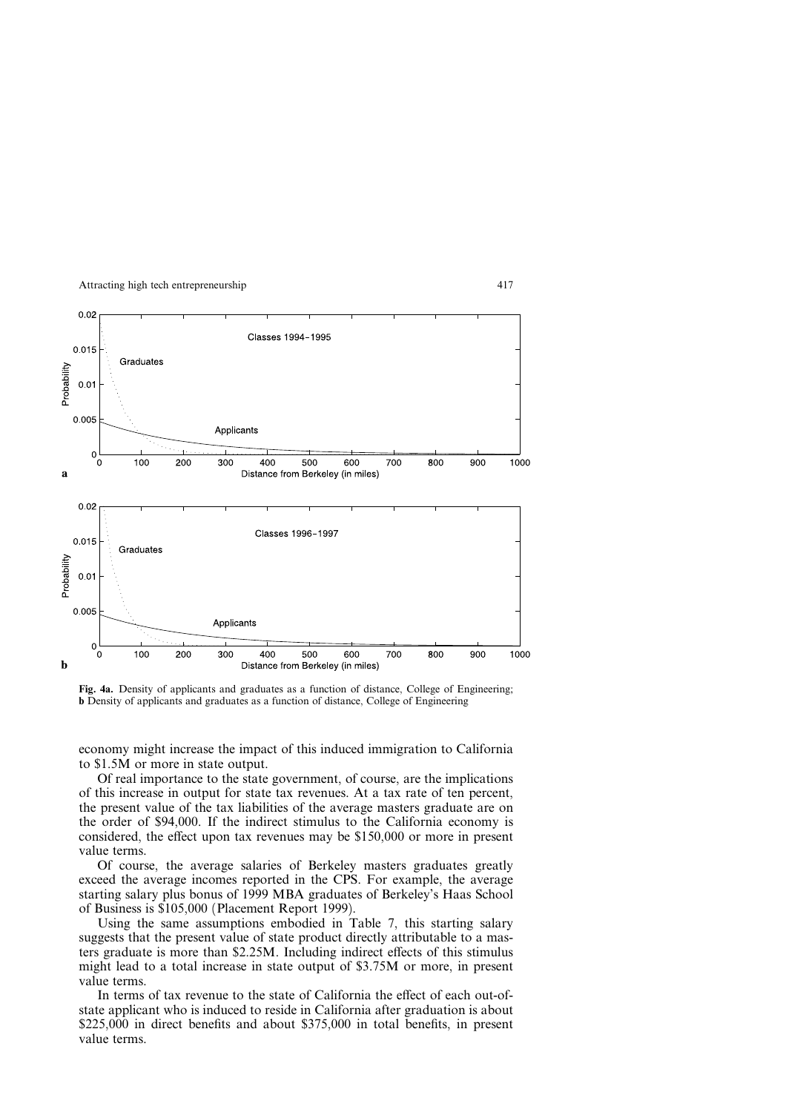

Fig. 4a. Density of applicants and graduates as a function of distance, College of Engineering; b Density of applicants and graduates as a function of distance, College of Engineering

economy might increase the impact of this induced immigration to California to \$1.5M or more in state output.

Of real importance to the state government, of course, are the implications of this increase in output for state tax revenues. At a tax rate of ten percent, the present value of the tax liabilities of the average masters graduate are on the order of \$94,000. If the indirect stimulus to the California economy is considered, the effect upon tax revenues may be \$150,000 or more in present value terms.

Of course, the average salaries of Berkeley masters graduates greatly exceed the average incomes reported in the CPS. For example, the average starting salary plus bonus of 1999 MBA graduates of Berkeley's Haas School of Business is \$105,000 (Placement Report 1999).

Using the same assumptions embodied in Table 7, this starting salary suggests that the present value of state product directly attributable to a masters graduate is more than \$2.25M. Including indirect effects of this stimulus might lead to a total increase in state output of \$3.75M or more, in present value terms.

In terms of tax revenue to the state of California the effect of each out-ofstate applicant who is induced to reside in California after graduation is about \$225,000 in direct benefits and about \$375,000 in total benefits, in present value terms.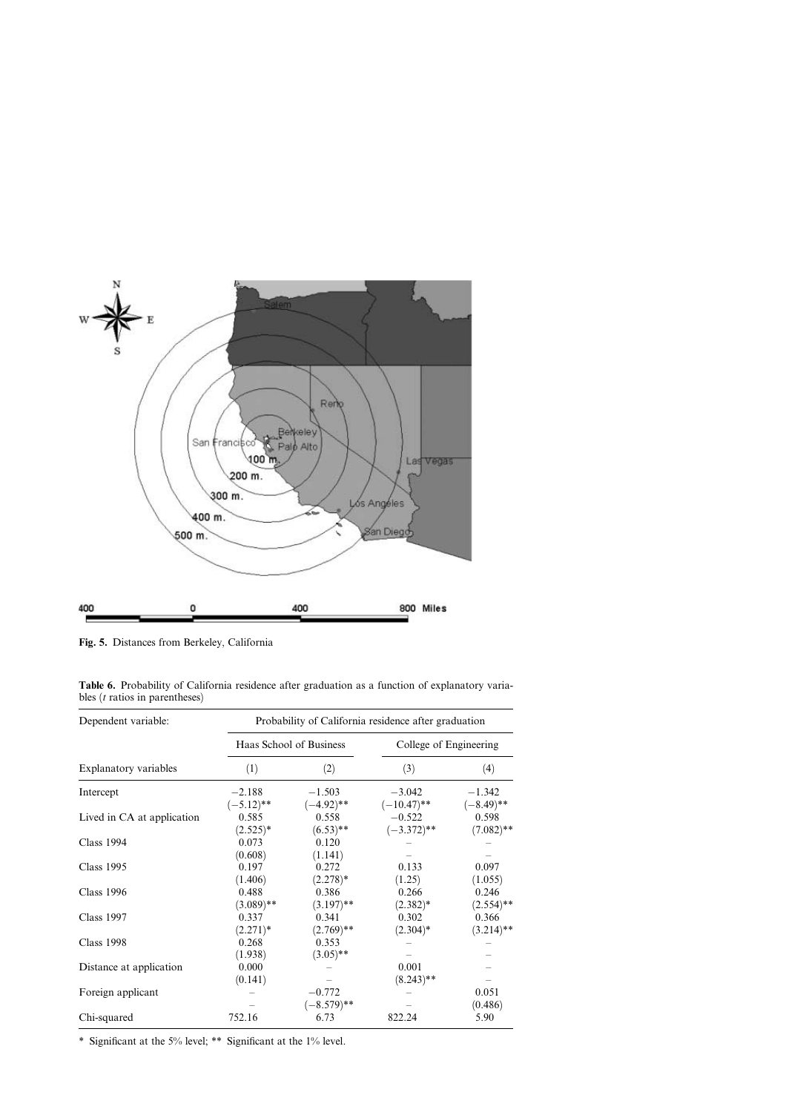

Fig. 5. Distances from Berkeley, California

| Table 6. Probability of California residence after graduation as a function of explanatory varia- |  |  |  |  |  |
|---------------------------------------------------------------------------------------------------|--|--|--|--|--|
| bles $(t$ ratios in parentheses)                                                                  |  |  |  |  |  |

| Dependent variable:        | Probability of California residence after graduation |                           |                           |                          |  |  |  |
|----------------------------|------------------------------------------------------|---------------------------|---------------------------|--------------------------|--|--|--|
|                            |                                                      | Haas School of Business   | College of Engineering    |                          |  |  |  |
| Explanatory variables      | (1)                                                  | (2)                       | (3)                       | (4)                      |  |  |  |
| Intercept                  | $-2.188$<br>$(-5.12)$ **                             | $-1.503$<br>$(-4.92)$ **  | $-3.042$<br>$(-10.47)$ ** | $-1.342$<br>$(-8.49)$ ** |  |  |  |
| Lived in CA at application | 0.585<br>$(2.525)^*$                                 | 0.558<br>$(6.53)$ **      | $-0.522$<br>$(-3.372)$ ** | 0.598<br>$(7.082)$ **    |  |  |  |
| <b>Class 1994</b>          | 0.073<br>(0.608)                                     | 0.120<br>(1.141)          |                           |                          |  |  |  |
| <b>Class 1995</b>          | 0.197<br>(1.406)                                     | 0.272<br>$(2.278)*$       | 0.133<br>(1.25)           | 0.097<br>(1.055)         |  |  |  |
| <b>Class 1996</b>          | 0.488<br>$(3.089)$ **                                | 0.386<br>$(3.197)$ **     | 0.266<br>$(2.382)*$       | 0.246<br>$(2.554)$ **    |  |  |  |
| <b>Class 1997</b>          | 0.337<br>$(2.271)*$                                  | 0.341<br>$(2.769)$ **     | 0.302<br>$(2.304)^*$      | 0.366<br>$(3.214)$ **    |  |  |  |
| <b>Class 1998</b>          | 0.268<br>(1.938)                                     | 0.353<br>$(3.05)$ **      |                           |                          |  |  |  |
| Distance at application    | 0.000<br>(0.141)                                     |                           | 0.001<br>$(8.243)$ **     |                          |  |  |  |
| Foreign applicant          |                                                      | $-0.772$<br>$(-8.579)$ ** |                           | 0.051<br>(0.486)         |  |  |  |
| Chi-squared                | 752.16                                               | 6.73                      | 822.24                    | 5.90                     |  |  |  |

\* Significant at the 5% level; \*\* Significant at the 1% level.